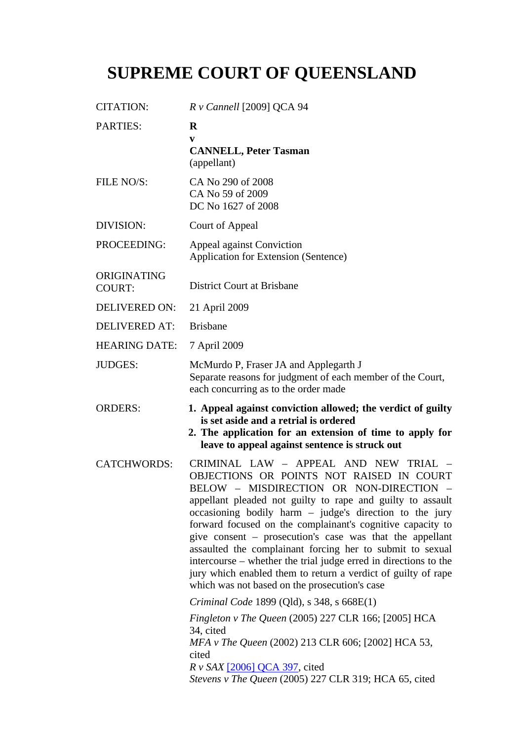# **SUPREME COURT OF QUEENSLAND**

| <b>CITATION:</b>             | R v Cannell [2009] QCA 94                                                                                                                                                                                                                                                                                                                                                                                                                                                                                                                                                                                                                                                                                                                                                                                 |
|------------------------------|-----------------------------------------------------------------------------------------------------------------------------------------------------------------------------------------------------------------------------------------------------------------------------------------------------------------------------------------------------------------------------------------------------------------------------------------------------------------------------------------------------------------------------------------------------------------------------------------------------------------------------------------------------------------------------------------------------------------------------------------------------------------------------------------------------------|
| <b>PARTIES:</b>              | $\bf R$<br>V<br><b>CANNELL, Peter Tasman</b><br>(appellant)                                                                                                                                                                                                                                                                                                                                                                                                                                                                                                                                                                                                                                                                                                                                               |
| FILE NO/S:                   | CA No 290 of 2008<br>CA No 59 of 2009<br>DC No 1627 of 2008                                                                                                                                                                                                                                                                                                                                                                                                                                                                                                                                                                                                                                                                                                                                               |
| DIVISION:                    | Court of Appeal                                                                                                                                                                                                                                                                                                                                                                                                                                                                                                                                                                                                                                                                                                                                                                                           |
| PROCEEDING:                  | <b>Appeal against Conviction</b><br>Application for Extension (Sentence)                                                                                                                                                                                                                                                                                                                                                                                                                                                                                                                                                                                                                                                                                                                                  |
| ORIGINATING<br><b>COURT:</b> | <b>District Court at Brisbane</b>                                                                                                                                                                                                                                                                                                                                                                                                                                                                                                                                                                                                                                                                                                                                                                         |
| <b>DELIVERED ON:</b>         | 21 April 2009                                                                                                                                                                                                                                                                                                                                                                                                                                                                                                                                                                                                                                                                                                                                                                                             |
| <b>DELIVERED AT:</b>         | <b>Brisbane</b>                                                                                                                                                                                                                                                                                                                                                                                                                                                                                                                                                                                                                                                                                                                                                                                           |
| <b>HEARING DATE:</b>         | 7 April 2009                                                                                                                                                                                                                                                                                                                                                                                                                                                                                                                                                                                                                                                                                                                                                                                              |
| <b>JUDGES:</b>               | McMurdo P, Fraser JA and Applegarth J<br>Separate reasons for judgment of each member of the Court,<br>each concurring as to the order made                                                                                                                                                                                                                                                                                                                                                                                                                                                                                                                                                                                                                                                               |
| <b>ORDERS:</b>               | 1. Appeal against conviction allowed; the verdict of guilty<br>is set aside and a retrial is ordered<br>2. The application for an extension of time to apply for<br>leave to appeal against sentence is struck out                                                                                                                                                                                                                                                                                                                                                                                                                                                                                                                                                                                        |
| <b>CATCHWORDS:</b>           | CRIMINAL LAW - APPEAL AND NEW TRIAL<br>OBJECTIONS OR POINTS NOT RAISED IN COURT<br>BELOW - MISDIRECTION OR NON-DIRECTION<br>appellant pleaded not guilty to rape and guilty to assault<br>occasioning bodily harm $-$ judge's direction to the jury<br>forward focused on the complainant's cognitive capacity to<br>give consent – prosecution's case was that the appellant<br>assaulted the complainant forcing her to submit to sexual<br>intercourse – whether the trial judge erred in directions to the<br>jury which enabled them to return a verdict of guilty of rape<br>which was not based on the prosecution's case<br>Criminal Code 1899 (Qld), s 348, s 668E(1)<br>Fingleton v The Queen (2005) 227 CLR 166; [2005] HCA<br>34, cited<br>MFA v The Queen (2002) 213 CLR 606; [2002] HCA 53, |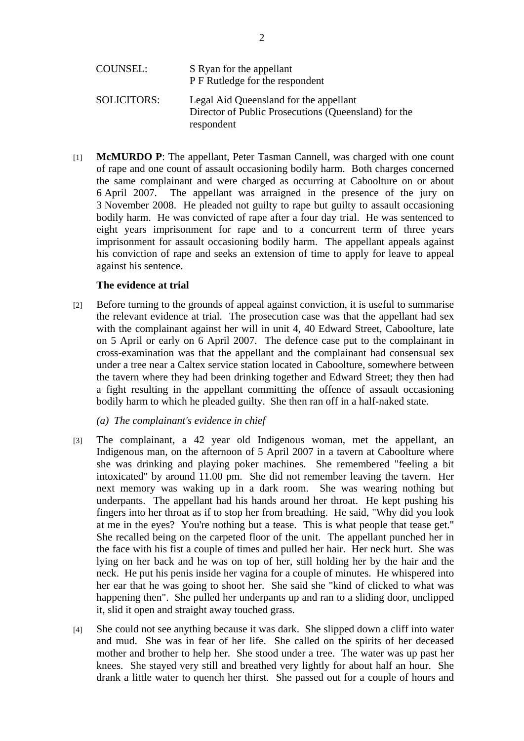| <b>COUNSEL:</b>    | S Ryan for the appellant<br>P F Rutledge for the respondent                                                  |
|--------------------|--------------------------------------------------------------------------------------------------------------|
| <b>SOLICITORS:</b> | Legal Aid Queensland for the appellant<br>Director of Public Prosecutions (Queensland) for the<br>respondent |

[1] **McMURDO P**: The appellant, Peter Tasman Cannell, was charged with one count of rape and one count of assault occasioning bodily harm. Both charges concerned the same complainant and were charged as occurring at Caboolture on or about 6 April 2007. The appellant was arraigned in the presence of the jury on 3 November 2008. He pleaded not guilty to rape but guilty to assault occasioning bodily harm. He was convicted of rape after a four day trial. He was sentenced to eight years imprisonment for rape and to a concurrent term of three years imprisonment for assault occasioning bodily harm. The appellant appeals against his conviction of rape and seeks an extension of time to apply for leave to appeal against his sentence.

### **The evidence at trial**

[2] Before turning to the grounds of appeal against conviction, it is useful to summarise the relevant evidence at trial. The prosecution case was that the appellant had sex with the complainant against her will in unit 4, 40 Edward Street, Caboolture, late on 5 April or early on 6 April 2007. The defence case put to the complainant in cross-examination was that the appellant and the complainant had consensual sex under a tree near a Caltex service station located in Caboolture, somewhere between the tavern where they had been drinking together and Edward Street; they then had a fight resulting in the appellant committing the offence of assault occasioning bodily harm to which he pleaded guilty. She then ran off in a half-naked state.

### *(a) The complainant's evidence in chief*

- [3] The complainant, a 42 year old Indigenous woman, met the appellant, an Indigenous man, on the afternoon of 5 April 2007 in a tavern at Caboolture where she was drinking and playing poker machines. She remembered "feeling a bit intoxicated" by around 11.00 pm. She did not remember leaving the tavern. Her next memory was waking up in a dark room. She was wearing nothing but underpants. The appellant had his hands around her throat. He kept pushing his fingers into her throat as if to stop her from breathing. He said, "Why did you look at me in the eyes? You're nothing but a tease. This is what people that tease get." She recalled being on the carpeted floor of the unit. The appellant punched her in the face with his fist a couple of times and pulled her hair. Her neck hurt. She was lying on her back and he was on top of her, still holding her by the hair and the neck. He put his penis inside her vagina for a couple of minutes. He whispered into her ear that he was going to shoot her. She said she "kind of clicked to what was happening then". She pulled her underpants up and ran to a sliding door, unclipped it, slid it open and straight away touched grass.
- [4] She could not see anything because it was dark. She slipped down a cliff into water and mud. She was in fear of her life. She called on the spirits of her deceased mother and brother to help her. She stood under a tree. The water was up past her knees. She stayed very still and breathed very lightly for about half an hour. She drank a little water to quench her thirst. She passed out for a couple of hours and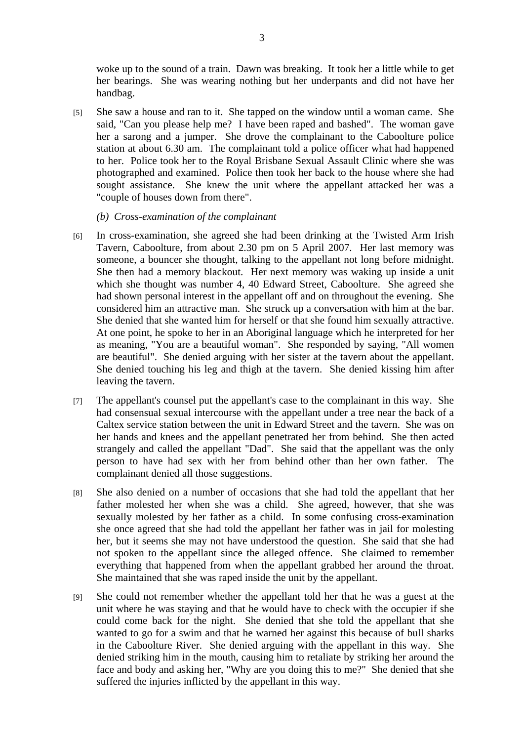woke up to the sound of a train. Dawn was breaking. It took her a little while to get her bearings. She was wearing nothing but her underpants and did not have her handbag.

- [5] She saw a house and ran to it. She tapped on the window until a woman came. She said, "Can you please help me? I have been raped and bashed". The woman gave her a sarong and a jumper. She drove the complainant to the Caboolture police station at about 6.30 am. The complainant told a police officer what had happened to her. Police took her to the Royal Brisbane Sexual Assault Clinic where she was photographed and examined. Police then took her back to the house where she had sought assistance. She knew the unit where the appellant attacked her was a "couple of houses down from there".
	- *(b) Cross-examination of the complainant*
- [6] In cross-examination, she agreed she had been drinking at the Twisted Arm Irish Tavern, Caboolture, from about 2.30 pm on 5 April 2007. Her last memory was someone, a bouncer she thought, talking to the appellant not long before midnight. She then had a memory blackout. Her next memory was waking up inside a unit which she thought was number 4, 40 Edward Street, Caboolture. She agreed she had shown personal interest in the appellant off and on throughout the evening. She considered him an attractive man. She struck up a conversation with him at the bar. She denied that she wanted him for herself or that she found him sexually attractive. At one point, he spoke to her in an Aboriginal language which he interpreted for her as meaning, "You are a beautiful woman". She responded by saying, "All women are beautiful". She denied arguing with her sister at the tavern about the appellant. She denied touching his leg and thigh at the tavern. She denied kissing him after leaving the tavern.
- [7] The appellant's counsel put the appellant's case to the complainant in this way. She had consensual sexual intercourse with the appellant under a tree near the back of a Caltex service station between the unit in Edward Street and the tavern. She was on her hands and knees and the appellant penetrated her from behind. She then acted strangely and called the appellant "Dad". She said that the appellant was the only person to have had sex with her from behind other than her own father. The complainant denied all those suggestions.
- [8] She also denied on a number of occasions that she had told the appellant that her father molested her when she was a child. She agreed, however, that she was sexually molested by her father as a child. In some confusing cross-examination she once agreed that she had told the appellant her father was in jail for molesting her, but it seems she may not have understood the question. She said that she had not spoken to the appellant since the alleged offence. She claimed to remember everything that happened from when the appellant grabbed her around the throat. She maintained that she was raped inside the unit by the appellant.
- [9] She could not remember whether the appellant told her that he was a guest at the unit where he was staying and that he would have to check with the occupier if she could come back for the night. She denied that she told the appellant that she wanted to go for a swim and that he warned her against this because of bull sharks in the Caboolture River. She denied arguing with the appellant in this way. She denied striking him in the mouth, causing him to retaliate by striking her around the face and body and asking her, "Why are you doing this to me?" She denied that she suffered the injuries inflicted by the appellant in this way.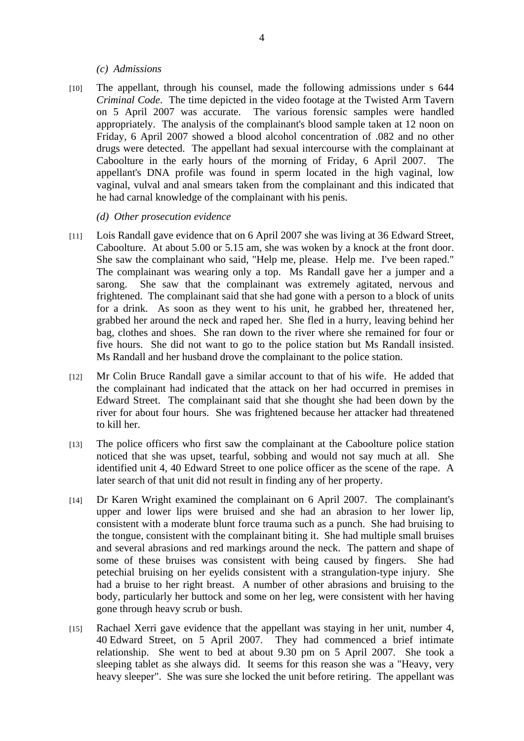#### *(c) Admissions*

- [10] The appellant, through his counsel, made the following admissions under s 644 *Criminal Code*. The time depicted in the video footage at the Twisted Arm Tavern on 5 April 2007 was accurate. The various forensic samples were handled appropriately. The analysis of the complainant's blood sample taken at 12 noon on Friday, 6 April 2007 showed a blood alcohol concentration of .082 and no other drugs were detected. The appellant had sexual intercourse with the complainant at Caboolture in the early hours of the morning of Friday, 6 April 2007. The appellant's DNA profile was found in sperm located in the high vaginal, low vaginal, vulval and anal smears taken from the complainant and this indicated that he had carnal knowledge of the complainant with his penis.
	- *(d) Other prosecution evidence*
- [11] Lois Randall gave evidence that on 6 April 2007 she was living at 36 Edward Street, Caboolture. At about 5.00 or 5.15 am, she was woken by a knock at the front door. She saw the complainant who said, "Help me, please. Help me. I've been raped." The complainant was wearing only a top. Ms Randall gave her a jumper and a sarong. She saw that the complainant was extremely agitated, nervous and frightened. The complainant said that she had gone with a person to a block of units for a drink. As soon as they went to his unit, he grabbed her, threatened her, grabbed her around the neck and raped her. She fled in a hurry, leaving behind her bag, clothes and shoes. She ran down to the river where she remained for four or five hours. She did not want to go to the police station but Ms Randall insisted. Ms Randall and her husband drove the complainant to the police station.
- [12] Mr Colin Bruce Randall gave a similar account to that of his wife. He added that the complainant had indicated that the attack on her had occurred in premises in Edward Street. The complainant said that she thought she had been down by the river for about four hours. She was frightened because her attacker had threatened to kill her.
- [13] The police officers who first saw the complainant at the Caboolture police station noticed that she was upset, tearful, sobbing and would not say much at all. She identified unit 4, 40 Edward Street to one police officer as the scene of the rape. A later search of that unit did not result in finding any of her property.
- [14] Dr Karen Wright examined the complainant on 6 April 2007. The complainant's upper and lower lips were bruised and she had an abrasion to her lower lip, consistent with a moderate blunt force trauma such as a punch. She had bruising to the tongue, consistent with the complainant biting it. She had multiple small bruises and several abrasions and red markings around the neck. The pattern and shape of some of these bruises was consistent with being caused by fingers. She had petechial bruising on her eyelids consistent with a strangulation-type injury. She had a bruise to her right breast. A number of other abrasions and bruising to the body, particularly her buttock and some on her leg, were consistent with her having gone through heavy scrub or bush.
- [15] Rachael Xerri gave evidence that the appellant was staying in her unit, number 4, 40 Edward Street, on 5 April 2007. They had commenced a brief intimate relationship. She went to bed at about 9.30 pm on 5 April 2007. She took a sleeping tablet as she always did. It seems for this reason she was a "Heavy, very heavy sleeper". She was sure she locked the unit before retiring. The appellant was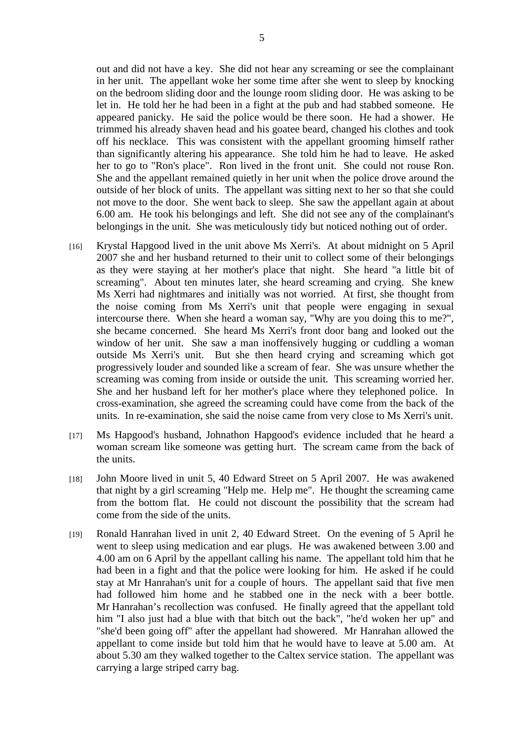out and did not have a key. She did not hear any screaming or see the complainant in her unit. The appellant woke her some time after she went to sleep by knocking on the bedroom sliding door and the lounge room sliding door. He was asking to be let in. He told her he had been in a fight at the pub and had stabbed someone. He appeared panicky. He said the police would be there soon. He had a shower. He trimmed his already shaven head and his goatee beard, changed his clothes and took off his necklace. This was consistent with the appellant grooming himself rather than significantly altering his appearance. She told him he had to leave. He asked her to go to "Ron's place". Ron lived in the front unit. She could not rouse Ron. She and the appellant remained quietly in her unit when the police drove around the outside of her block of units. The appellant was sitting next to her so that she could not move to the door. She went back to sleep. She saw the appellant again at about 6.00 am. He took his belongings and left. She did not see any of the complainant's belongings in the unit. She was meticulously tidy but noticed nothing out of order.

- [16] Krystal Hapgood lived in the unit above Ms Xerri's. At about midnight on 5 April 2007 she and her husband returned to their unit to collect some of their belongings as they were staying at her mother's place that night. She heard "a little bit of screaming". About ten minutes later, she heard screaming and crying. She knew Ms Xerri had nightmares and initially was not worried. At first, she thought from the noise coming from Ms Xerri's unit that people were engaging in sexual intercourse there. When she heard a woman say, "Why are you doing this to me?", she became concerned. She heard Ms Xerri's front door bang and looked out the window of her unit. She saw a man inoffensively hugging or cuddling a woman outside Ms Xerri's unit. But she then heard crying and screaming which got progressively louder and sounded like a scream of fear. She was unsure whether the screaming was coming from inside or outside the unit. This screaming worried her. She and her husband left for her mother's place where they telephoned police. In cross-examination, she agreed the screaming could have come from the back of the units. In re-examination, she said the noise came from very close to Ms Xerri's unit.
- [17] Ms Hapgood's husband, Johnathon Hapgood's evidence included that he heard a woman scream like someone was getting hurt. The scream came from the back of the units.
- [18] John Moore lived in unit 5, 40 Edward Street on 5 April 2007. He was awakened that night by a girl screaming "Help me. Help me". He thought the screaming came from the bottom flat. He could not discount the possibility that the scream had come from the side of the units.
- [19] Ronald Hanrahan lived in unit 2, 40 Edward Street. On the evening of 5 April he went to sleep using medication and ear plugs. He was awakened between 3.00 and 4.00 am on 6 April by the appellant calling his name. The appellant told him that he had been in a fight and that the police were looking for him. He asked if he could stay at Mr Hanrahan's unit for a couple of hours. The appellant said that five men had followed him home and he stabbed one in the neck with a beer bottle. Mr Hanrahan's recollection was confused. He finally agreed that the appellant told him "I also just had a blue with that bitch out the back", "he'd woken her up" and "she'd been going off" after the appellant had showered. Mr Hanrahan allowed the appellant to come inside but told him that he would have to leave at 5.00 am. At about 5.30 am they walked together to the Caltex service station. The appellant was carrying a large striped carry bag.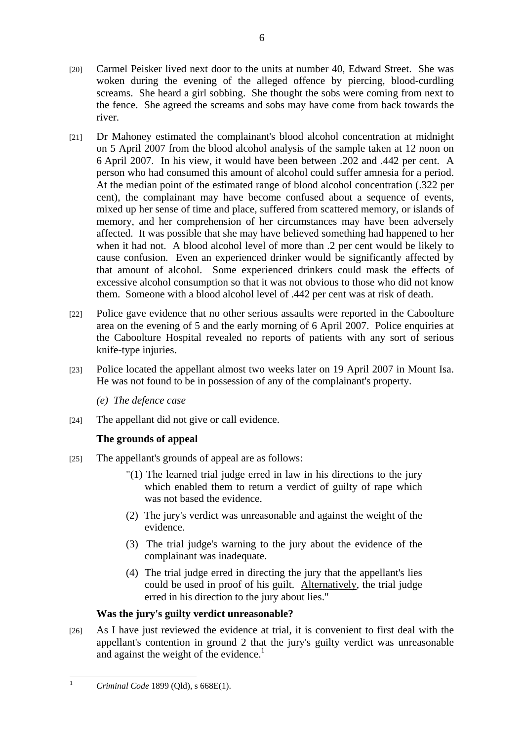- [21] Dr Mahoney estimated the complainant's blood alcohol concentration at midnight on 5 April 2007 from the blood alcohol analysis of the sample taken at 12 noon on 6 April 2007. In his view, it would have been between .202 and .442 per cent. A person who had consumed this amount of alcohol could suffer amnesia for a period. At the median point of the estimated range of blood alcohol concentration (.322 per cent), the complainant may have become confused about a sequence of events, mixed up her sense of time and place, suffered from scattered memory, or islands of memory, and her comprehension of her circumstances may have been adversely affected. It was possible that she may have believed something had happened to her when it had not. A blood alcohol level of more than .2 per cent would be likely to cause confusion. Even an experienced drinker would be significantly affected by that amount of alcohol. Some experienced drinkers could mask the effects of excessive alcohol consumption so that it was not obvious to those who did not know them. Someone with a blood alcohol level of .442 per cent was at risk of death.
- [22] Police gave evidence that no other serious assaults were reported in the Caboolture area on the evening of 5 and the early morning of 6 April 2007. Police enquiries at the Caboolture Hospital revealed no reports of patients with any sort of serious knife-type injuries.
- [23] Police located the appellant almost two weeks later on 19 April 2007 in Mount Isa. He was not found to be in possession of any of the complainant's property.

*(e) The defence case* 

[24] The appellant did not give or call evidence.

# **The grounds of appeal**

- [25] The appellant's grounds of appeal are as follows:
	- "(1) The learned trial judge erred in law in his directions to the jury which enabled them to return a verdict of guilty of rape which was not based the evidence.
	- (2) The jury's verdict was unreasonable and against the weight of the evidence.
	- (3) The trial judge's warning to the jury about the evidence of the complainant was inadequate.
	- (4) The trial judge erred in directing the jury that the appellant's lies could be used in proof of his guilt. Alternatively, the trial judge erred in his direction to the jury about lies."

# **Was the jury's guilty verdict unreasonable?**

[26] As I have just reviewed the evidence at trial, it is convenient to first deal with the appellant's contention in ground 2 that the jury's guilty verdict was unreasonable and against the weight of the evidence.<sup>1</sup>

 $\frac{1}{1}$ *Criminal Code* 1899 (Qld), s 668E(1).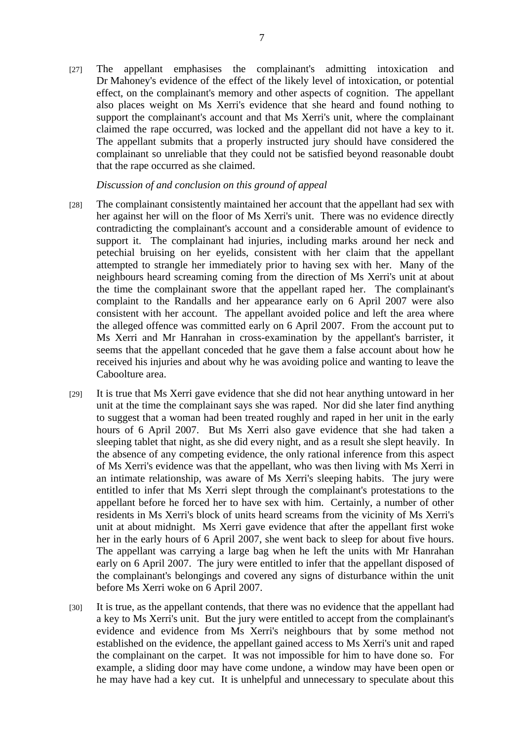[27] The appellant emphasises the complainant's admitting intoxication and Dr Mahoney's evidence of the effect of the likely level of intoxication, or potential effect, on the complainant's memory and other aspects of cognition. The appellant also places weight on Ms Xerri's evidence that she heard and found nothing to support the complainant's account and that Ms Xerri's unit, where the complainant claimed the rape occurred, was locked and the appellant did not have a key to it. The appellant submits that a properly instructed jury should have considered the complainant so unreliable that they could not be satisfied beyond reasonable doubt that the rape occurred as she claimed.

#### *Discussion of and conclusion on this ground of appeal*

- [28] The complainant consistently maintained her account that the appellant had sex with her against her will on the floor of Ms Xerri's unit. There was no evidence directly contradicting the complainant's account and a considerable amount of evidence to support it. The complainant had injuries, including marks around her neck and petechial bruising on her eyelids, consistent with her claim that the appellant attempted to strangle her immediately prior to having sex with her. Many of the neighbours heard screaming coming from the direction of Ms Xerri's unit at about the time the complainant swore that the appellant raped her. The complainant's complaint to the Randalls and her appearance early on 6 April 2007 were also consistent with her account. The appellant avoided police and left the area where the alleged offence was committed early on 6 April 2007. From the account put to Ms Xerri and Mr Hanrahan in cross-examination by the appellant's barrister, it seems that the appellant conceded that he gave them a false account about how he received his injuries and about why he was avoiding police and wanting to leave the Caboolture area.
- [29] It is true that Ms Xerri gave evidence that she did not hear anything untoward in her unit at the time the complainant says she was raped. Nor did she later find anything to suggest that a woman had been treated roughly and raped in her unit in the early hours of 6 April 2007. But Ms Xerri also gave evidence that she had taken a sleeping tablet that night, as she did every night, and as a result she slept heavily. In the absence of any competing evidence, the only rational inference from this aspect of Ms Xerri's evidence was that the appellant, who was then living with Ms Xerri in an intimate relationship, was aware of Ms Xerri's sleeping habits. The jury were entitled to infer that Ms Xerri slept through the complainant's protestations to the appellant before he forced her to have sex with him. Certainly, a number of other residents in Ms Xerri's block of units heard screams from the vicinity of Ms Xerri's unit at about midnight. Ms Xerri gave evidence that after the appellant first woke her in the early hours of 6 April 2007, she went back to sleep for about five hours. The appellant was carrying a large bag when he left the units with Mr Hanrahan early on 6 April 2007. The jury were entitled to infer that the appellant disposed of the complainant's belongings and covered any signs of disturbance within the unit before Ms Xerri woke on 6 April 2007.
- [30] It is true, as the appellant contends, that there was no evidence that the appellant had a key to Ms Xerri's unit. But the jury were entitled to accept from the complainant's evidence and evidence from Ms Xerri's neighbours that by some method not established on the evidence, the appellant gained access to Ms Xerri's unit and raped the complainant on the carpet. It was not impossible for him to have done so. For example, a sliding door may have come undone, a window may have been open or he may have had a key cut. It is unhelpful and unnecessary to speculate about this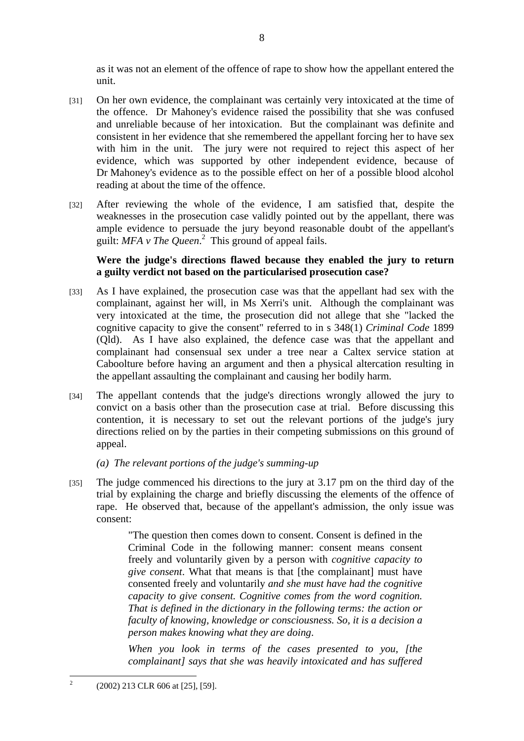as it was not an element of the offence of rape to show how the appellant entered the unit.

- [31] On her own evidence, the complainant was certainly very intoxicated at the time of the offence. Dr Mahoney's evidence raised the possibility that she was confused and unreliable because of her intoxication. But the complainant was definite and consistent in her evidence that she remembered the appellant forcing her to have sex with him in the unit. The jury were not required to reject this aspect of her evidence, which was supported by other independent evidence, because of Dr Mahoney's evidence as to the possible effect on her of a possible blood alcohol reading at about the time of the offence.
- [32] After reviewing the whole of the evidence, I am satisfied that, despite the weaknesses in the prosecution case validly pointed out by the appellant, there was ample evidence to persuade the jury beyond reasonable doubt of the appellant's guilt: MFA v The Queen.<sup>2</sup> This ground of appeal fails.

## **Were the judge's directions flawed because they enabled the jury to return a guilty verdict not based on the particularised prosecution case?**

- [33] As I have explained, the prosecution case was that the appellant had sex with the complainant, against her will, in Ms Xerri's unit. Although the complainant was very intoxicated at the time, the prosecution did not allege that she "lacked the cognitive capacity to give the consent" referred to in s 348(1) *Criminal Code* 1899 (Qld). As I have also explained, the defence case was that the appellant and complainant had consensual sex under a tree near a Caltex service station at Caboolture before having an argument and then a physical altercation resulting in the appellant assaulting the complainant and causing her bodily harm.
- [34] The appellant contends that the judge's directions wrongly allowed the jury to convict on a basis other than the prosecution case at trial. Before discussing this contention, it is necessary to set out the relevant portions of the judge's jury directions relied on by the parties in their competing submissions on this ground of appeal.

## *(a) The relevant portions of the judge's summing-up*

[35] The judge commenced his directions to the jury at 3.17 pm on the third day of the trial by explaining the charge and briefly discussing the elements of the offence of rape. He observed that, because of the appellant's admission, the only issue was consent:

> "The question then comes down to consent. Consent is defined in the Criminal Code in the following manner: consent means consent freely and voluntarily given by a person with *cognitive capacity to give consent*. What that means is that [the complainant] must have consented freely and voluntarily *and she must have had the cognitive capacity to give consent. Cognitive comes from the word cognition. That is defined in the dictionary in the following terms: the action or faculty of knowing, knowledge or consciousness. So, it is a decision a person makes knowing what they are doing*.

> *When you look in terms of the cases presented to you, [the complainant] says that she was heavily intoxicated and has suffered*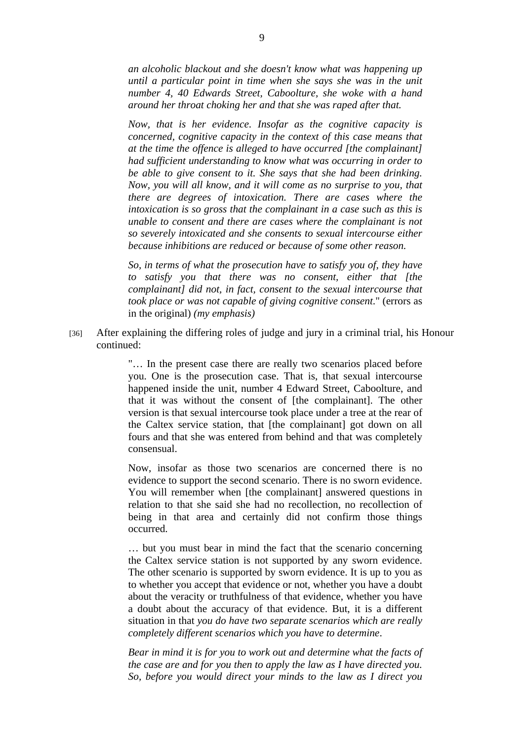*an alcoholic blackout and she doesn't know what was happening up until a particular point in time when she says she was in the unit number 4, 40 Edwards Street, Caboolture, she woke with a hand around her throat choking her and that she was raped after that.* 

*Now, that is her evidence. Insofar as the cognitive capacity is concerned, cognitive capacity in the context of this case means that at the time the offence is alleged to have occurred [the complainant] had sufficient understanding to know what was occurring in order to be able to give consent to it. She says that she had been drinking. Now, you will all know, and it will come as no surprise to you, that there are degrees of intoxication. There are cases where the intoxication is so gross that the complainant in a case such as this is unable to consent and there are cases where the complainant is not so severely intoxicated and she consents to sexual intercourse either because inhibitions are reduced or because of some other reason.* 

*So, in terms of what the prosecution have to satisfy you of, they have to satisfy you that there was no consent, either that [the complainant] did not, in fact, consent to the sexual intercourse that took place or was not capable of giving cognitive consent*." (errors as in the original) *(my emphasis)* 

[36] After explaining the differing roles of judge and jury in a criminal trial, his Honour continued:

> "… In the present case there are really two scenarios placed before you. One is the prosecution case. That is, that sexual intercourse happened inside the unit, number 4 Edward Street, Caboolture, and that it was without the consent of [the complainant]. The other version is that sexual intercourse took place under a tree at the rear of the Caltex service station, that [the complainant] got down on all fours and that she was entered from behind and that was completely consensual.

> Now, insofar as those two scenarios are concerned there is no evidence to support the second scenario. There is no sworn evidence. You will remember when [the complainant] answered questions in relation to that she said she had no recollection, no recollection of being in that area and certainly did not confirm those things occurred.

> … but you must bear in mind the fact that the scenario concerning the Caltex service station is not supported by any sworn evidence. The other scenario is supported by sworn evidence. It is up to you as to whether you accept that evidence or not, whether you have a doubt about the veracity or truthfulness of that evidence, whether you have a doubt about the accuracy of that evidence. But, it is a different situation in that *you do have two separate scenarios which are really completely different scenarios which you have to determine*.

> *Bear in mind it is for you to work out and determine what the facts of the case are and for you then to apply the law as I have directed you. So, before you would direct your minds to the law as I direct you*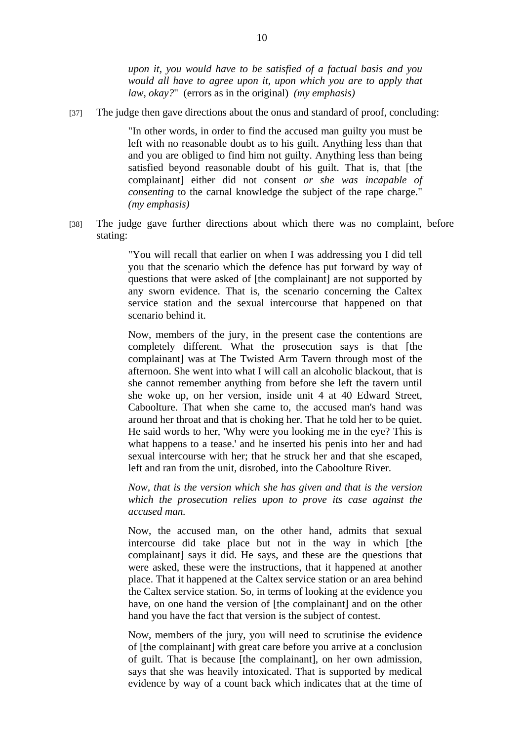*upon it, you would have to be satisfied of a factual basis and you would all have to agree upon it, upon which you are to apply that law, okay?*" (errors as in the original) *(my emphasis)* 

[37] The judge then gave directions about the onus and standard of proof, concluding:

"In other words, in order to find the accused man guilty you must be left with no reasonable doubt as to his guilt. Anything less than that and you are obliged to find him not guilty. Anything less than being satisfied beyond reasonable doubt of his guilt. That is, that [the complainant] either did not consent *or she was incapable of consenting* to the carnal knowledge the subject of the rape charge." *(my emphasis)* 

[38] The judge gave further directions about which there was no complaint, before stating:

> "You will recall that earlier on when I was addressing you I did tell you that the scenario which the defence has put forward by way of questions that were asked of [the complainant] are not supported by any sworn evidence. That is, the scenario concerning the Caltex service station and the sexual intercourse that happened on that scenario behind it.

> Now, members of the jury, in the present case the contentions are completely different. What the prosecution says is that [the complainant] was at The Twisted Arm Tavern through most of the afternoon. She went into what I will call an alcoholic blackout, that is she cannot remember anything from before she left the tavern until she woke up, on her version, inside unit 4 at 40 Edward Street, Caboolture. That when she came to, the accused man's hand was around her throat and that is choking her. That he told her to be quiet. He said words to her, 'Why were you looking me in the eye? This is what happens to a tease.' and he inserted his penis into her and had sexual intercourse with her; that he struck her and that she escaped, left and ran from the unit, disrobed, into the Caboolture River.

> *Now, that is the version which she has given and that is the version which the prosecution relies upon to prove its case against the accused man.*

> Now, the accused man, on the other hand, admits that sexual intercourse did take place but not in the way in which [the complainant] says it did. He says, and these are the questions that were asked, these were the instructions, that it happened at another place. That it happened at the Caltex service station or an area behind the Caltex service station. So, in terms of looking at the evidence you have, on one hand the version of [the complainant] and on the other hand you have the fact that version is the subject of contest.

> Now, members of the jury, you will need to scrutinise the evidence of [the complainant] with great care before you arrive at a conclusion of guilt. That is because [the complainant], on her own admission, says that she was heavily intoxicated. That is supported by medical evidence by way of a count back which indicates that at the time of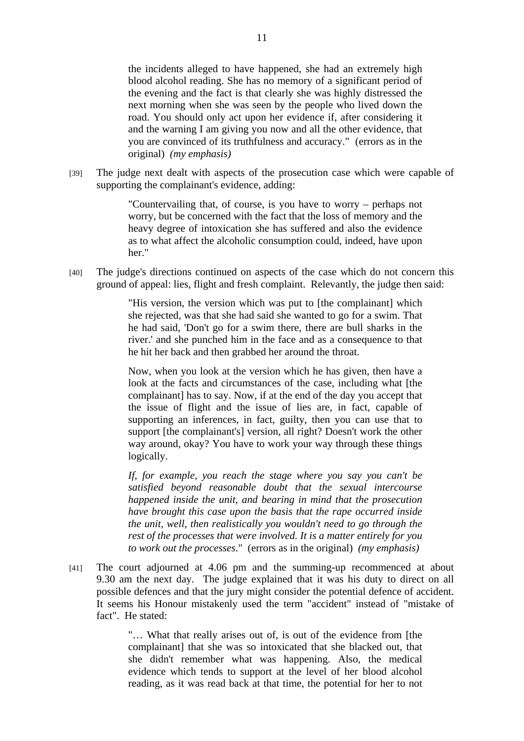the incidents alleged to have happened, she had an extremely high blood alcohol reading. She has no memory of a significant period of the evening and the fact is that clearly she was highly distressed the next morning when she was seen by the people who lived down the road. You should only act upon her evidence if, after considering it and the warning I am giving you now and all the other evidence, that you are convinced of its truthfulness and accuracy." (errors as in the original) *(my emphasis)* 

[39] The judge next dealt with aspects of the prosecution case which were capable of supporting the complainant's evidence, adding:

> "Countervailing that, of course, is you have to worry – perhaps not worry, but be concerned with the fact that the loss of memory and the heavy degree of intoxication she has suffered and also the evidence as to what affect the alcoholic consumption could, indeed, have upon her."

[40] The judge's directions continued on aspects of the case which do not concern this ground of appeal: lies, flight and fresh complaint. Relevantly, the judge then said:

> "His version, the version which was put to [the complainant] which she rejected, was that she had said she wanted to go for a swim. That he had said, 'Don't go for a swim there, there are bull sharks in the river.' and she punched him in the face and as a consequence to that he hit her back and then grabbed her around the throat.

> Now, when you look at the version which he has given, then have a look at the facts and circumstances of the case, including what [the complainant] has to say. Now, if at the end of the day you accept that the issue of flight and the issue of lies are, in fact, capable of supporting an inferences, in fact, guilty, then you can use that to support [the complainant's] version, all right? Doesn't work the other way around, okay? You have to work your way through these things logically.

> *If, for example, you reach the stage where you say you can't be satisfied beyond reasonable doubt that the sexual intercourse happened inside the unit, and bearing in mind that the prosecution have brought this case upon the basis that the rape occurred inside the unit, well, then realistically you wouldn't need to go through the rest of the processes that were involved. It is a matter entirely for you to work out the processes*." (errors as in the original) *(my emphasis)*

[41] The court adjourned at 4.06 pm and the summing-up recommenced at about 9.30 am the next day. The judge explained that it was his duty to direct on all possible defences and that the jury might consider the potential defence of accident. It seems his Honour mistakenly used the term "accident" instead of "mistake of fact". He stated:

> "… What that really arises out of, is out of the evidence from [the complainant] that she was so intoxicated that she blacked out, that she didn't remember what was happening. Also, the medical evidence which tends to support at the level of her blood alcohol reading, as it was read back at that time, the potential for her to not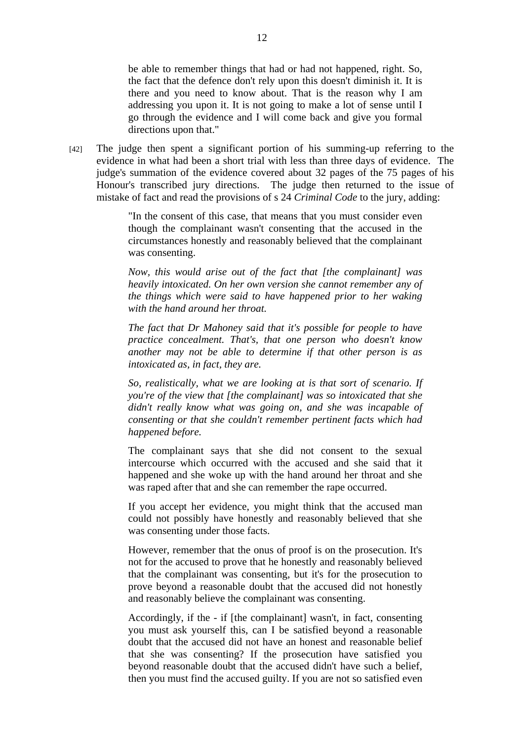be able to remember things that had or had not happened, right. So, the fact that the defence don't rely upon this doesn't diminish it. It is there and you need to know about. That is the reason why I am addressing you upon it. It is not going to make a lot of sense until I go through the evidence and I will come back and give you formal directions upon that."

[42] The judge then spent a significant portion of his summing-up referring to the evidence in what had been a short trial with less than three days of evidence. The judge's summation of the evidence covered about 32 pages of the 75 pages of his Honour's transcribed jury directions. The judge then returned to the issue of mistake of fact and read the provisions of s 24 *Criminal Code* to the jury, adding:

> "In the consent of this case, that means that you must consider even though the complainant wasn't consenting that the accused in the circumstances honestly and reasonably believed that the complainant was consenting.

> *Now, this would arise out of the fact that [the complainant] was heavily intoxicated. On her own version she cannot remember any of the things which were said to have happened prior to her waking with the hand around her throat.*

> *The fact that Dr Mahoney said that it's possible for people to have practice concealment. That's, that one person who doesn't know another may not be able to determine if that other person is as intoxicated as, in fact, they are.*

> *So, realistically, what we are looking at is that sort of scenario. If you're of the view that [the complainant] was so intoxicated that she didn't really know what was going on, and she was incapable of consenting or that she couldn't remember pertinent facts which had happened before.*

> The complainant says that she did not consent to the sexual intercourse which occurred with the accused and she said that it happened and she woke up with the hand around her throat and she was raped after that and she can remember the rape occurred.

> If you accept her evidence, you might think that the accused man could not possibly have honestly and reasonably believed that she was consenting under those facts.

> However, remember that the onus of proof is on the prosecution. It's not for the accused to prove that he honestly and reasonably believed that the complainant was consenting, but it's for the prosecution to prove beyond a reasonable doubt that the accused did not honestly and reasonably believe the complainant was consenting.

> Accordingly, if the - if [the complainant] wasn't, in fact, consenting you must ask yourself this, can I be satisfied beyond a reasonable doubt that the accused did not have an honest and reasonable belief that she was consenting? If the prosecution have satisfied you beyond reasonable doubt that the accused didn't have such a belief, then you must find the accused guilty. If you are not so satisfied even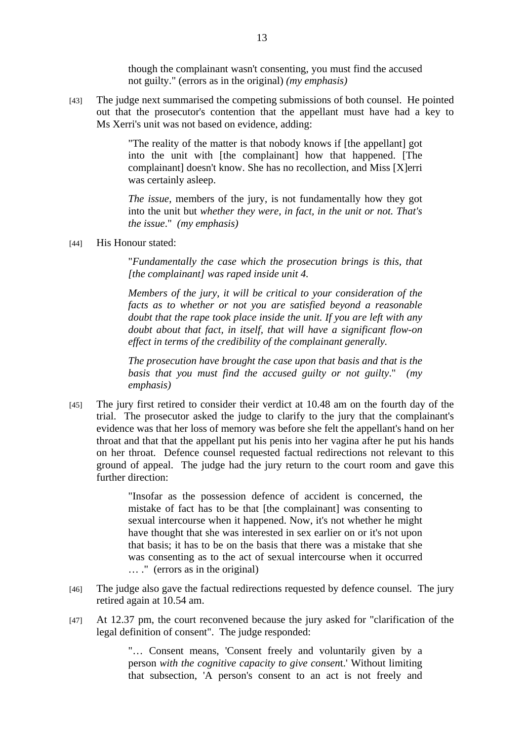though the complainant wasn't consenting, you must find the accused not guilty." (errors as in the original) *(my emphasis)* 

[43] The judge next summarised the competing submissions of both counsel. He pointed out that the prosecutor's contention that the appellant must have had a key to Ms Xerri's unit was not based on evidence, adding:

> "The reality of the matter is that nobody knows if [the appellant] got into the unit with [the complainant] how that happened. [The complainant] doesn't know. She has no recollection, and Miss [X]erri was certainly asleep.

> *The issue*, members of the jury, is not fundamentally how they got into the unit but *whether they were, in fact, in the unit or not. That's the issue*." *(my emphasis)*

#### [44] His Honour stated:

"*Fundamentally the case which the prosecution brings is this, that [the complainant] was raped inside unit 4.* 

*Members of the jury, it will be critical to your consideration of the facts as to whether or not you are satisfied beyond a reasonable doubt that the rape took place inside the unit. If you are left with any doubt about that fact, in itself, that will have a significant flow-on effect in terms of the credibility of the complainant generally.* 

*The prosecution have brought the case upon that basis and that is the basis that you must find the accused guilty or not guilty*." *(my emphasis)* 

[45] The jury first retired to consider their verdict at 10.48 am on the fourth day of the trial. The prosecutor asked the judge to clarify to the jury that the complainant's evidence was that her loss of memory was before she felt the appellant's hand on her throat and that that the appellant put his penis into her vagina after he put his hands on her throat. Defence counsel requested factual redirections not relevant to this ground of appeal. The judge had the jury return to the court room and gave this further direction:

> "Insofar as the possession defence of accident is concerned, the mistake of fact has to be that [the complainant] was consenting to sexual intercourse when it happened. Now, it's not whether he might have thought that she was interested in sex earlier on or it's not upon that basis; it has to be on the basis that there was a mistake that she was consenting as to the act of sexual intercourse when it occurred … ." (errors as in the original)

- [46] The judge also gave the factual redirections requested by defence counsel. The jury retired again at 10.54 am.
- [47] At 12.37 pm, the court reconvened because the jury asked for "clarification of the legal definition of consent". The judge responded:

"… Consent means, 'Consent freely and voluntarily given by a person *with the cognitive capacity to give consen*t.' Without limiting that subsection, 'A person's consent to an act is not freely and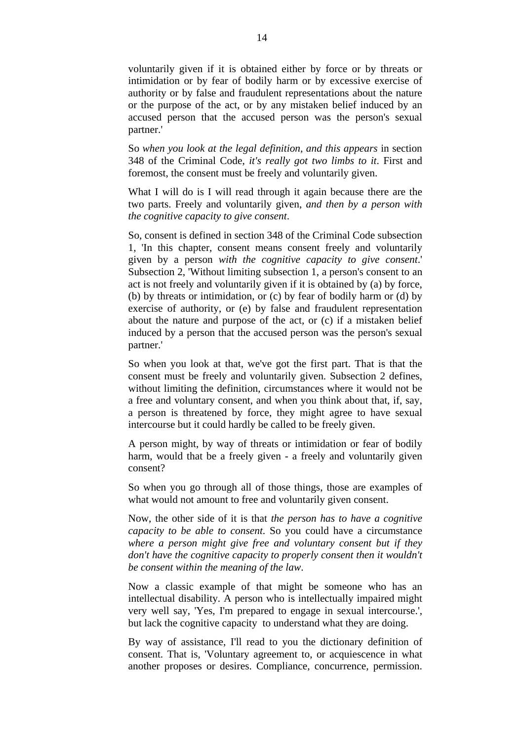voluntarily given if it is obtained either by force or by threats or intimidation or by fear of bodily harm or by excessive exercise of authority or by false and fraudulent representations about the nature or the purpose of the act, or by any mistaken belief induced by an accused person that the accused person was the person's sexual partner.'

So *when you look at the legal definition, and this appears* in section 348 of the Criminal Code, *it's really got two limbs to it*. First and foremost, the consent must be freely and voluntarily given.

What I will do is I will read through it again because there are the two parts. Freely and voluntarily given, *and then by a person with the cognitive capacity to give consent*.

So, consent is defined in section 348 of the Criminal Code subsection 1, 'In this chapter, consent means consent freely and voluntarily given by a person *with the cognitive capacity to give consent*.' Subsection 2, 'Without limiting subsection 1, a person's consent to an act is not freely and voluntarily given if it is obtained by (a) by force, (b) by threats or intimidation, or (c) by fear of bodily harm or (d) by exercise of authority, or (e) by false and fraudulent representation about the nature and purpose of the act, or (c) if a mistaken belief induced by a person that the accused person was the person's sexual partner.'

So when you look at that, we've got the first part. That is that the consent must be freely and voluntarily given. Subsection 2 defines, without limiting the definition, circumstances where it would not be a free and voluntary consent, and when you think about that, if, say, a person is threatened by force, they might agree to have sexual intercourse but it could hardly be called to be freely given.

A person might, by way of threats or intimidation or fear of bodily harm, would that be a freely given - a freely and voluntarily given consent?

So when you go through all of those things, those are examples of what would not amount to free and voluntarily given consent.

Now, the other side of it is that *the person has to have a cognitive capacity to be able to consent*. So you could have a circumstance *where a person might give free and voluntary consent but if they don't have the cognitive capacity to properly consent then it wouldn't be consent within the meaning of the law*.

Now a classic example of that might be someone who has an intellectual disability. A person who is intellectually impaired might very well say, 'Yes, I'm prepared to engage in sexual intercourse.', but lack the cognitive capacity to understand what they are doing.

By way of assistance, I'll read to you the dictionary definition of consent. That is, 'Voluntary agreement to, or acquiescence in what another proposes or desires. Compliance, concurrence, permission.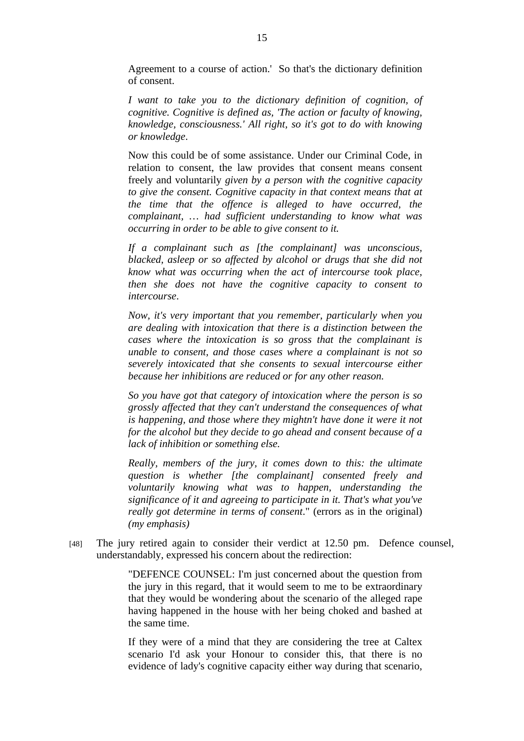Agreement to a course of action.' So that's the dictionary definition of consent.

*I want to take you to the dictionary definition of cognition, of cognitive. Cognitive is defined as, 'The action or faculty of knowing, knowledge, consciousness.' All right, so it's got to do with knowing or knowledge*.

Now this could be of some assistance. Under our Criminal Code, in relation to consent, the law provides that consent means consent freely and voluntarily *given by a person with the cognitive capacity to give the consent. Cognitive capacity in that context means that at the time that the offence is alleged to have occurred, the complainant, … had sufficient understanding to know what was occurring in order to be able to give consent to it.* 

*If a complainant such as [the complainant] was unconscious, blacked, asleep or so affected by alcohol or drugs that she did not know what was occurring when the act of intercourse took place, then she does not have the cognitive capacity to consent to intercourse*.

*Now, it's very important that you remember, particularly when you are dealing with intoxication that there is a distinction between the cases where the intoxication is so gross that the complainant is unable to consent, and those cases where a complainant is not so severely intoxicated that she consents to sexual intercourse either because her inhibitions are reduced or for any other reason.* 

*So you have got that category of intoxication where the person is so grossly affected that they can't understand the consequences of what is happening, and those where they mightn't have done it were it not for the alcohol but they decide to go ahead and consent because of a lack of inhibition or something else.* 

*Really, members of the jury, it comes down to this: the ultimate question is whether [the complainant] consented freely and voluntarily knowing what was to happen, understanding the significance of it and agreeing to participate in it. That's what you've really got determine in terms of consent*." (errors as in the original) *(my emphasis)* 

[48] The jury retired again to consider their verdict at 12.50 pm. Defence counsel, understandably, expressed his concern about the redirection:

> "DEFENCE COUNSEL: I'm just concerned about the question from the jury in this regard, that it would seem to me to be extraordinary that they would be wondering about the scenario of the alleged rape having happened in the house with her being choked and bashed at the same time.

> If they were of a mind that they are considering the tree at Caltex scenario I'd ask your Honour to consider this, that there is no evidence of lady's cognitive capacity either way during that scenario,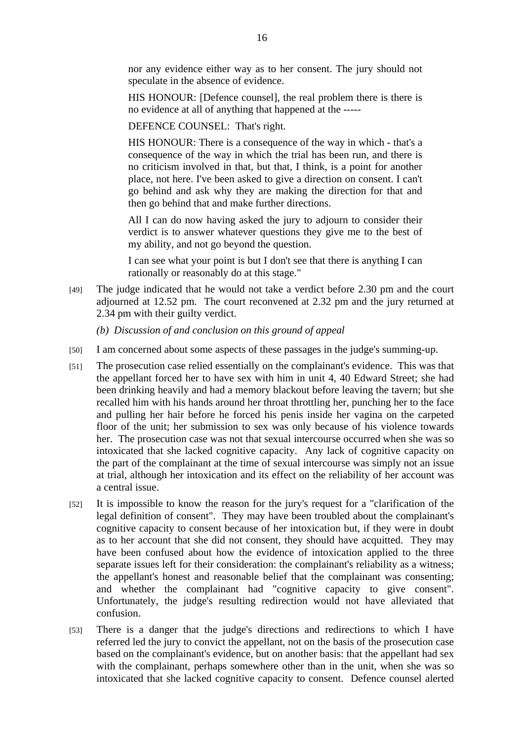nor any evidence either way as to her consent. The jury should not speculate in the absence of evidence.

HIS HONOUR: [Defence counsel], the real problem there is there is no evidence at all of anything that happened at the -----

DEFENCE COUNSEL: That's right.

HIS HONOUR: There is a consequence of the way in which - that's a consequence of the way in which the trial has been run, and there is no criticism involved in that, but that, I think, is a point for another place, not here. I've been asked to give a direction on consent. I can't go behind and ask why they are making the direction for that and then go behind that and make further directions.

All I can do now having asked the jury to adjourn to consider their verdict is to answer whatever questions they give me to the best of my ability, and not go beyond the question.

I can see what your point is but I don't see that there is anything I can rationally or reasonably do at this stage."

[49] The judge indicated that he would not take a verdict before 2.30 pm and the court adjourned at 12.52 pm. The court reconvened at 2.32 pm and the jury returned at 2.34 pm with their guilty verdict.

*(b) Discussion of and conclusion on this ground of appeal*

- [50] I am concerned about some aspects of these passages in the judge's summing-up.
- [51] The prosecution case relied essentially on the complainant's evidence. This was that the appellant forced her to have sex with him in unit 4, 40 Edward Street; she had been drinking heavily and had a memory blackout before leaving the tavern; but she recalled him with his hands around her throat throttling her, punching her to the face and pulling her hair before he forced his penis inside her vagina on the carpeted floor of the unit; her submission to sex was only because of his violence towards her. The prosecution case was not that sexual intercourse occurred when she was so intoxicated that she lacked cognitive capacity. Any lack of cognitive capacity on the part of the complainant at the time of sexual intercourse was simply not an issue at trial, although her intoxication and its effect on the reliability of her account was a central issue.
- [52] It is impossible to know the reason for the jury's request for a "clarification of the legal definition of consent". They may have been troubled about the complainant's cognitive capacity to consent because of her intoxication but, if they were in doubt as to her account that she did not consent, they should have acquitted. They may have been confused about how the evidence of intoxication applied to the three separate issues left for their consideration: the complainant's reliability as a witness; the appellant's honest and reasonable belief that the complainant was consenting; and whether the complainant had "cognitive capacity to give consent". Unfortunately, the judge's resulting redirection would not have alleviated that confusion.
- [53] There is a danger that the judge's directions and redirections to which I have referred led the jury to convict the appellant, not on the basis of the prosecution case based on the complainant's evidence, but on another basis: that the appellant had sex with the complainant, perhaps somewhere other than in the unit, when she was so intoxicated that she lacked cognitive capacity to consent. Defence counsel alerted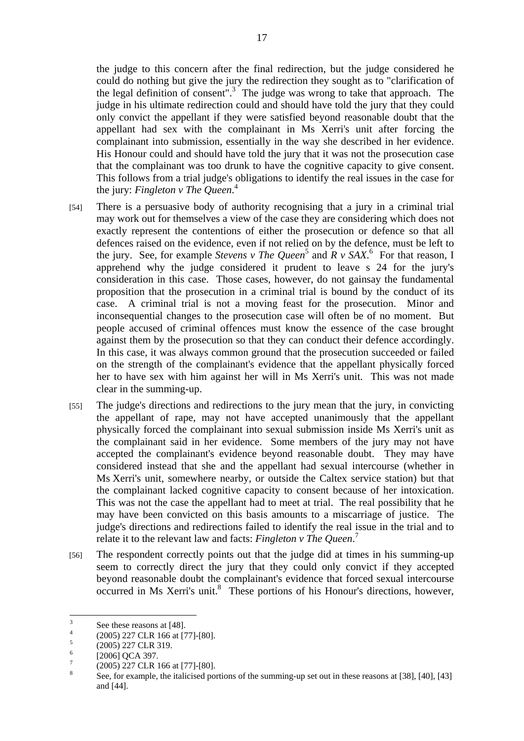the judge to this concern after the final redirection, but the judge considered he could do nothing but give the jury the redirection they sought as to "clarification of the legal definition of consent".<sup>3</sup> The judge was wrong to take that approach. The judge in his ultimate redirection could and should have told the jury that they could only convict the appellant if they were satisfied beyond reasonable doubt that the appellant had sex with the complainant in Ms Xerri's unit after forcing the complainant into submission, essentially in the way she described in her evidence. His Honour could and should have told the jury that it was not the prosecution case that the complainant was too drunk to have the cognitive capacity to give consent. This follows from a trial judge's obligations to identify the real issues in the case for the jury: *Fingleton v The Queen*. 4

- [54] There is a persuasive body of authority recognising that a jury in a criminal trial may work out for themselves a view of the case they are considering which does not exactly represent the contentions of either the prosecution or defence so that all defences raised on the evidence, even if not relied on by the defence, must be left to the jury. See, for example *Stevens v The Queen*<sup>5</sup> and  $\overline{R}$  v  $\overline{SAX}$ . For that reason, I apprehend why the judge considered it prudent to leave s 24 for the jury's consideration in this case. Those cases, however, do not gainsay the fundamental proposition that the prosecution in a criminal trial is bound by the conduct of its case. A criminal trial is not a moving feast for the prosecution. Minor and inconsequential changes to the prosecution case will often be of no moment. But people accused of criminal offences must know the essence of the case brought against them by the prosecution so that they can conduct their defence accordingly. In this case, it was always common ground that the prosecution succeeded or failed on the strength of the complainant's evidence that the appellant physically forced her to have sex with him against her will in Ms Xerri's unit. This was not made clear in the summing-up.
- [55] The judge's directions and redirections to the jury mean that the jury, in convicting the appellant of rape, may not have accepted unanimously that the appellant physically forced the complainant into sexual submission inside Ms Xerri's unit as the complainant said in her evidence. Some members of the jury may not have accepted the complainant's evidence beyond reasonable doubt. They may have considered instead that she and the appellant had sexual intercourse (whether in Ms Xerri's unit, somewhere nearby, or outside the Caltex service station) but that the complainant lacked cognitive capacity to consent because of her intoxication. This was not the case the appellant had to meet at trial. The real possibility that he may have been convicted on this basis amounts to a miscarriage of justice. The judge's directions and redirections failed to identify the real issue in the trial and to relate it to the relevant law and facts: *Fingleton v The Queen*. 7
- [56] The respondent correctly points out that the judge did at times in his summing-up seem to correctly direct the jury that they could only convict if they accepted beyond reasonable doubt the complainant's evidence that forced sexual intercourse occurred in Ms Xerri's unit.<sup>8</sup> These portions of his Honour's directions, however,

 3 See these reasons at [48].

<sup>4</sup> (2005) 227 CLR 166 at [77]-[80].

<sup>5</sup> (2005) 227 CLR 319. 6

<sup>[2006]</sup> QCA 397.

<sup>7</sup> (2005) 227 CLR 166 at [77]-[80].

<sup>8</sup> See, for example, the italicised portions of the summing-up set out in these reasons at [38], [40], [43] and [44].